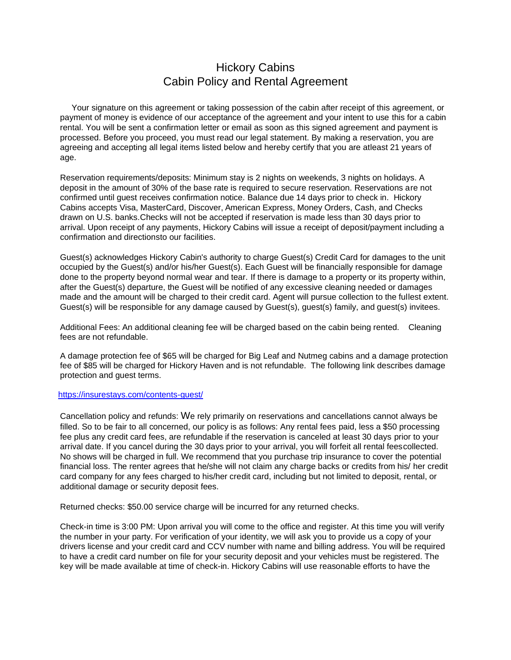## Hickory Cabins Cabin Policy and Rental Agreement

Your signature on this agreement or taking possession of the cabin after receipt of this agreement, or payment of money is evidence of our acceptance of the agreement and your intent to use this for a cabin rental. You will be sent a confirmation letter or email as soon as this signed agreement and payment is processed. Before you proceed, you must read our legal statement. By making a reservation, you are agreeing and accepting all legal items listed below and hereby certify that you are atleast 21 years of age.

Reservation requirements/deposits: Minimum stay is 2 nights on weekends, 3 nights on holidays. A deposit in the amount of 30% of the base rate is required to secure reservation. Reservations are not confirmed until guest receives confirmation notice. Balance due 14 days prior to check in. Hickory Cabins accepts Visa, MasterCard, Discover, American Express, Money Orders, Cash, and Checks drawn on U.S. banks.Checks will not be accepted if reservation is made less than 30 days prior to arrival. Upon receipt of any payments, Hickory Cabins will issue a receipt of deposit/payment including a confirmation and directionsto our facilities.

Guest(s) acknowledges Hickory Cabin's authority to charge Guest(s) Credit Card for damages to the unit occupied by the Guest(s) and/or his/her Guest(s). Each Guest will be financially responsible for damage done to the property beyond normal wear and tear. If there is damage to a property or its property within, after the Guest(s) departure, the Guest will be notified of any excessive cleaning needed or damages made and the amount will be charged to their credit card. Agent will pursue collection to the fullest extent. Guest(s) will be responsible for any damage caused by Guest(s), guest(s) family, and guest(s) invitees.

Additional Fees: An additional cleaning fee will be charged based on the cabin being rented. Cleaning fees are not refundable.

A damage protection fee of \$65 will be charged for Big Leaf and Nutmeg cabins and a damage protection fee of \$85 will be charged for Hickory Haven and is not refundable. The following link describes damage protection and guest terms.

## <https://insurestays.com/contents-guest/>

Cancellation policy and refunds: We rely primarily on reservations and cancellations cannot always be filled. So to be fair to all concerned, our policy is as follows: Any rental fees paid, less a \$50 processing fee plus any credit card fees, are refundable if the reservation is canceled at least 30 days prior to your arrival date. If you cancel during the 30 days prior to your arrival, you will forfeit all rental feescollected. No shows will be charged in full. We recommend that you purchase trip insurance to cover the potential financial loss. The renter agrees that he/she will not claim any charge backs or credits from his/ her credit card company for any fees charged to his/her credit card, including but not limited to deposit, rental, or additional damage or security deposit fees.

Returned checks: \$50.00 service charge will be incurred for any returned checks.

Check-in time is 3:00 PM: Upon arrival you will come to the office and register. At this time you will verify the number in your party. For verification of your identity, we will ask you to provide us a copy of your drivers license and your credit card and CCV number with name and billing address. You will be required to have a credit card number on file for your security deposit and your vehicles must be registered. The key will be made available at time of check-in. Hickory Cabins will use reasonable efforts to have the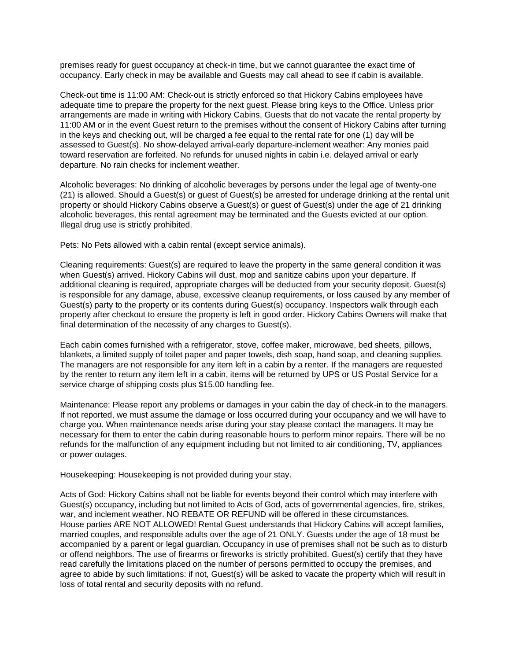premises ready for guest occupancy at check-in time, but we cannot guarantee the exact time of occupancy. Early check in may be available and Guests may call ahead to see if cabin is available.

Check-out time is 11:00 AM: Check-out is strictly enforced so that Hickory Cabins employees have adequate time to prepare the property for the next guest. Please bring keys to the Office. Unless prior arrangements are made in writing with Hickory Cabins, Guests that do not vacate the rental property by 11:00 AM or in the event Guest return to the premises without the consent of Hickory Cabins after turning in the keys and checking out, will be charged a fee equal to the rental rate for one (1) day will be assessed to Guest(s). No show-delayed arrival-early departure-inclement weather: Any monies paid toward reservation are forfeited. No refunds for unused nights in cabin i.e. delayed arrival or early departure. No rain checks for inclement weather.

Alcoholic beverages: No drinking of alcoholic beverages by persons under the legal age of twenty-one (21) is allowed. Should a Guest(s) or guest of Guest(s) be arrested for underage drinking at the rental unit property or should Hickory Cabins observe a Guest(s) or guest of Guest(s) under the age of 21 drinking alcoholic beverages, this rental agreement may be terminated and the Guests evicted at our option. Illegal drug use is strictly prohibited.

Pets: No Pets allowed with a cabin rental (except service animals).

Cleaning requirements: Guest(s) are required to leave the property in the same general condition it was when Guest(s) arrived. Hickory Cabins will dust, mop and sanitize cabins upon your departure. If additional cleaning is required, appropriate charges will be deducted from your security deposit. Guest(s) is responsible for any damage, abuse, excessive cleanup requirements, or loss caused by any member of Guest(s) party to the property or its contents during Guest(s) occupancy. Inspectors walk through each property after checkout to ensure the property is left in good order. Hickory Cabins Owners will make that final determination of the necessity of any charges to Guest(s).

Each cabin comes furnished with a refrigerator, stove, coffee maker, microwave, bed sheets, pillows, blankets, a limited supply of toilet paper and paper towels, dish soap, hand soap, and cleaning supplies. The managers are not responsible for any item left in a cabin by a renter. If the managers are requested by the renter to return any item left in a cabin, items will be returned by UPS or US Postal Service for a service charge of shipping costs plus \$15.00 handling fee.

Maintenance: Please report any problems or damages in your cabin the day of check-in to the managers. If not reported, we must assume the damage or loss occurred during your occupancy and we will have to charge you. When maintenance needs arise during your stay please contact the managers. It may be necessary for them to enter the cabin during reasonable hours to perform minor repairs. There will be no refunds for the malfunction of any equipment including but not limited to air conditioning, TV, appliances or power outages.

Housekeeping: Housekeeping is not provided during your stay.

Acts of God: Hickory Cabins shall not be liable for events beyond their control which may interfere with Guest(s) occupancy, including but not limited to Acts of God, acts of governmental agencies, fire, strikes, war, and inclement weather. NO REBATE OR REFUND will be offered in these circumstances. House parties ARE NOT ALLOWED! Rental Guest understands that Hickory Cabins will accept families, married couples, and responsible adults over the age of 21 ONLY. Guests under the age of 18 must be accompanied by a parent or legal guardian. Occupancy in use of premises shall not be such as to disturb or offend neighbors. The use of firearms or fireworks is strictly prohibited. Guest(s) certify that they have read carefully the limitations placed on the number of persons permitted to occupy the premises, and agree to abide by such limitations: if not, Guest(s) will be asked to vacate the property which will result in loss of total rental and security deposits with no refund.